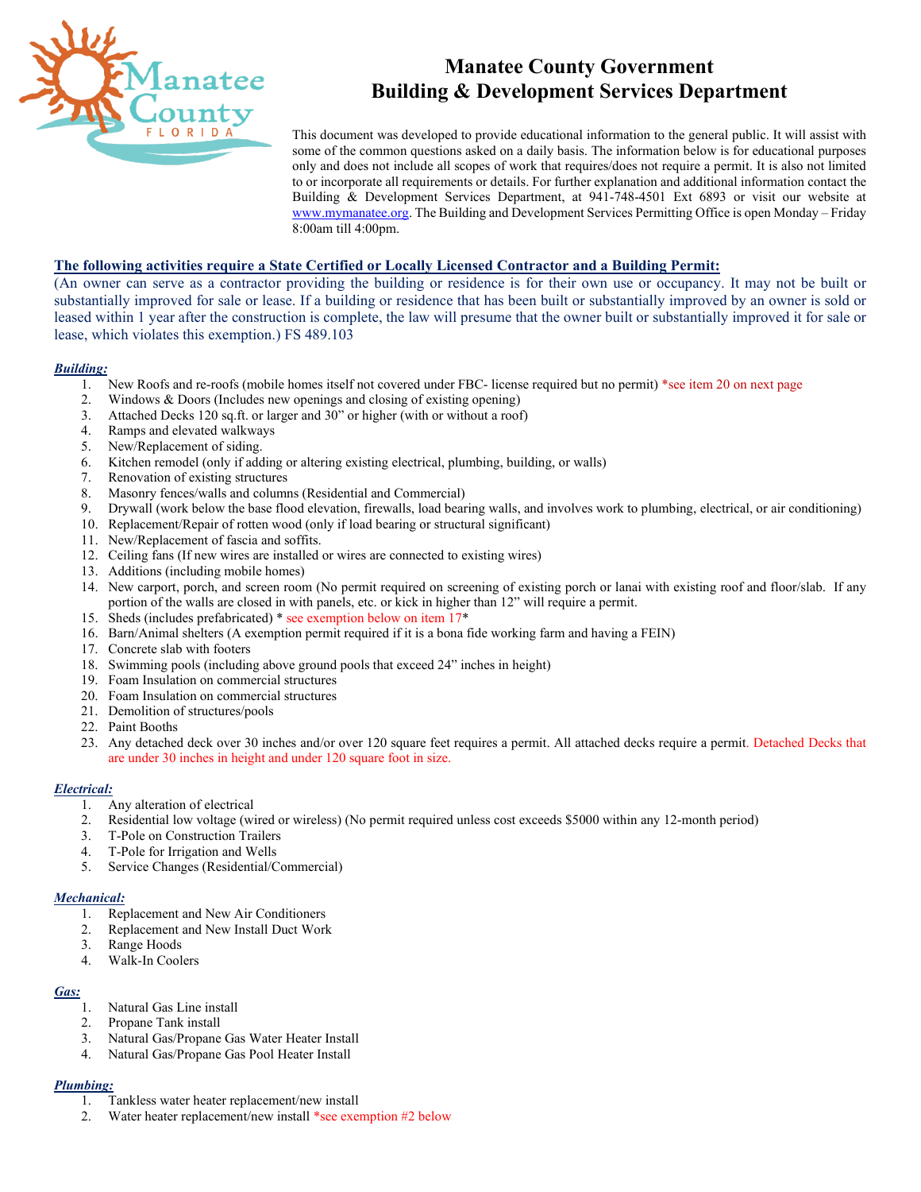

# **Manatee County Government Building & Development Services Department**

This document was developed to provide educational information to the general public. It will assist with some of the common questions asked on a daily basis. The information below is for educational purposes only and does not include all scopes of work that requires/does not require a permit. It is also not limited to or incorporate all requirements or details. For further explanation and additional information contact the Building & Development Services Department, at 941-748-4501 Ext 6893 or visit our website at [www.mymanatee.org.](http://www.mymanatee.org/) The Building and Development Services Permitting Office is open Monday – Friday 8:00am till 4:00pm.

## **The following activities require a State Certified or Locally Licensed Contractor and a Building Permit:**

(An owner can serve as a contractor providing the building or residence is for their own use or occupancy. It may not be built or substantially improved for sale or lease. If a building or residence that has been built or substantially improved by an owner is sold or leased within 1 year after the construction is complete, the law will presume that the owner built or substantially improved it for sale or lease, which violates this exemption.) FS 489.103

#### *Building:*

- 1. New Roofs and re-roofs (mobile homes itself not covered under FBC- license required but no permit) \*see item 20 on next page
- 2. Windows & Doors (Includes new openings and closing of existing opening)
- 3. Attached Decks 120 sq.ft. or larger and 30" or higher (with or without a roof)
- 4. Ramps and elevated walkways
- 5. New/Replacement of siding.
- 6. Kitchen remodel (only if adding or altering existing electrical, plumbing, building, or walls)
- 7. Renovation of existing structures
- 8. Masonry fences/walls and columns (Residential and Commercial)
- 9. Drywall (work below the base flood elevation, firewalls, load bearing walls, and involves work to plumbing, electrical, or air conditioning)
- 10. Replacement/Repair of rotten wood (only if load bearing or structural significant)
- 11. New/Replacement of fascia and soffits.
- 12. Ceiling fans (If new wires are installed or wires are connected to existing wires)
- 13. Additions (including mobile homes)
- 14. New carport, porch, and screen room (No permit required on screening of existing porch or lanai with existing roof and floor/slab. If any portion of the walls are closed in with panels, etc. or kick in higher than 12" will require a permit.
- 15. Sheds (includes prefabricated) \* see exemption below on item 17\*
- 16. Barn/Animal shelters (A exemption permit required if it is a bona fide working farm and having a FEIN)
- 17. Concrete slab with footers
- 18. Swimming pools (including above ground pools that exceed 24" inches in height)
- 19. Foam Insulation on commercial structures
- 20. Foam Insulation on commercial structures
- 21. Demolition of structures/pools
- 22. Paint Booths
- 23. Any detached deck over 30 inches and/or over 120 square feet requires a permit. All attached decks require a permit. Detached Decks that are under 30 inches in height and under 120 square foot in size.

## *Electrical:*

- 1. Any alteration of electrical
- 2. Residential low voltage (wired or wireless) (No permit required unless cost exceeds \$5000 within any 12-month period)
- 3. T-Pole on Construction Trailers<br>4. T-Pole for Irrigation and Wells
- 4. T-Pole for Irrigation and Wells<br>5. Service Changes (Residential/C
- 5. Service Changes (Residential/Commercial)

#### *Mechanical:*

- 1. Replacement and New Air Conditioners
- 2. Replacement and New Install Duct Work
- 3. Range Hoods
- 4. Walk-In Coolers

## *Gas:*

- 1. Natural Gas Line install
- 2. Propane Tank install
- 3. Natural Gas/Propane Gas Water Heater Install
- 4. Natural Gas/Propane Gas Pool Heater Install

## *Plumbing:*

- 1. Tankless water heater replacement/new install
- 2. Water heater replacement/new install \*see exemption #2 below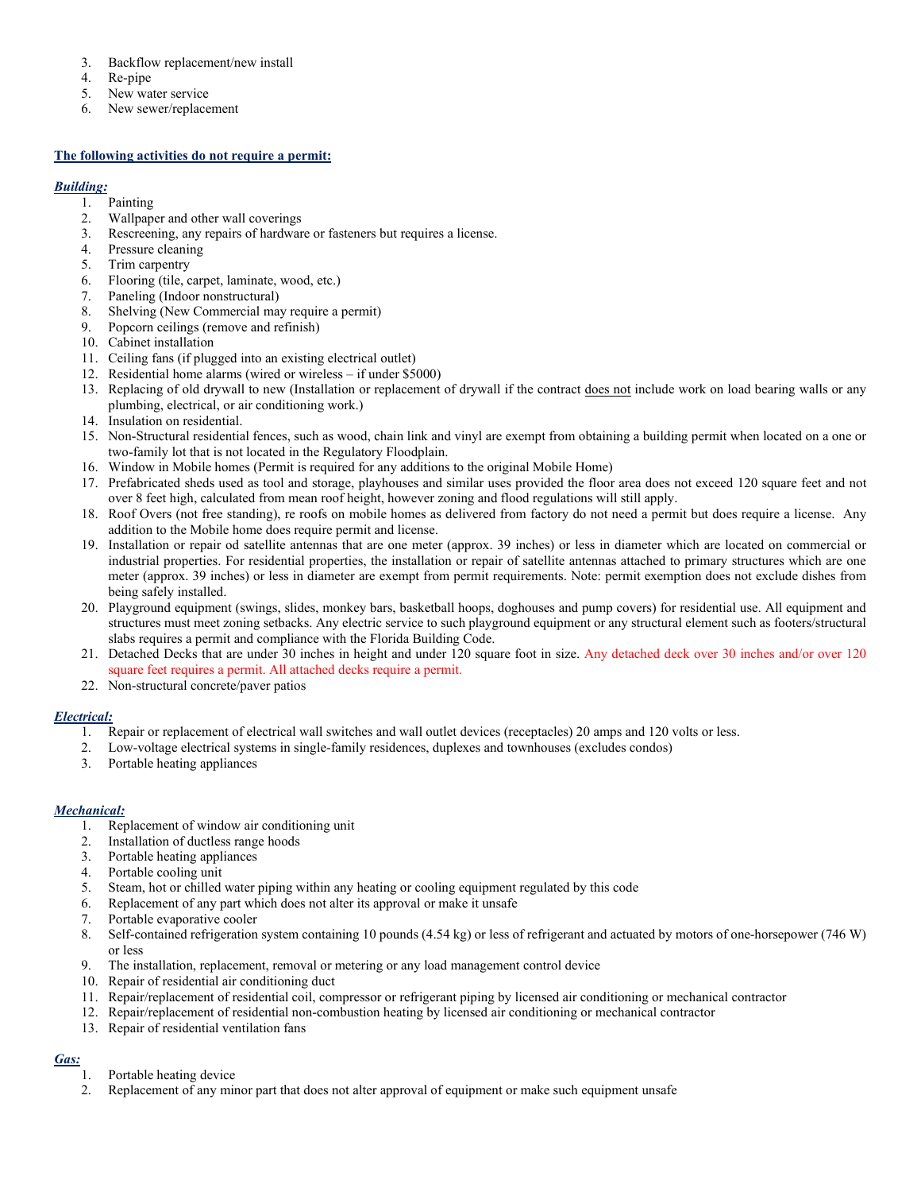- 3. Backflow replacement/new install
- 4. Re-pipe
- 5. New water service
- 6. New sewer/replacement

#### **The following activities do not require a permit:**

#### *Building:*

- 1. Painting
- 2. Wallpaper and other wall coverings
- 3. Rescreening, any repairs of hardware or fasteners but requires a license.
- 4. Pressure cleaning
- 5. Trim carpentry
- 6. Flooring (tile, carpet, laminate, wood, etc.)
- 7. Paneling (Indoor nonstructural)
- 8. Shelving (New Commercial may require a permit)
- 9. Popcorn ceilings (remove and refinish)
- 10. Cabinet installation
- 11. Ceiling fans (if plugged into an existing electrical outlet)
- 12. Residential home alarms (wired or wireless if under \$5000)
- 13. Replacing of old drywall to new (Installation or replacement of drywall if the contract does not include work on load bearing walls or any plumbing, electrical, or air conditioning work.)
- 14. Insulation on residential.
- 15. Non-Structural residential fences, such as wood, chain link and vinyl are exempt from obtaining a building permit when located on a one or two-family lot that is not located in the Regulatory Floodplain.
- 16. Window in Mobile homes (Permit is required for any additions to the original Mobile Home)
- 17. Prefabricated sheds used as tool and storage, playhouses and similar uses provided the floor area does not exceed 120 square feet and not over 8 feet high, calculated from mean roof height, however zoning and flood regulations will still apply.
- 18. Roof Overs (not free standing), re roofs on mobile homes as delivered from factory do not need a permit but does require a license. Any addition to the Mobile home does require permit and license.
- 19. Installation or repair od satellite antennas that are one meter (approx. 39 inches) or less in diameter which are located on commercial or industrial properties. For residential properties, the installation or repair of satellite antennas attached to primary structures which are one meter (approx. 39 inches) or less in diameter are exempt from permit requirements. Note: permit exemption does not exclude dishes from being safely installed.
- 20. Playground equipment (swings, slides, monkey bars, basketball hoops, doghouses and pump covers) for residential use. All equipment and structures must meet zoning setbacks. Any electric service to such playground equipment or any structural element such as footers/structural slabs requires a permit and compliance with the Florida Building Code.
- 21. Detached Decks that are under 30 inches in height and under 120 square foot in size. Any detached deck over 30 inches and/or over 120 square feet requires a permit. All attached decks require a permit.
- 22. Non-structural concrete/paver patios

## *Electrical:*

- 1. Repair or replacement of electrical wall switches and wall outlet devices (receptacles) 20 amps and 120 volts or less.
- 2. Low-voltage electrical systems in single-family residences, duplexes and townhouses (excludes condos)
- 3. Portable heating appliances

## *Mechanical:*

- 1. Replacement of window air conditioning unit
- 2. Installation of ductless range hoods
- 3. Portable heating appliances
- 4. Portable cooling unit
- 5. Steam, hot or chilled water piping within any heating or cooling equipment regulated by this code
- 6. Replacement of any part which does not alter its approval or make it unsafe
- 7. Portable evaporative cooler
- 8. Self-contained refrigeration system containing 10 pounds (4.54 kg) or less of refrigerant and actuated by motors of one-horsepower (746 W) or less
- 9. The installation, replacement, removal or metering or any load management control device
- 10. Repair of residential air conditioning duct
- 11. Repair/replacement of residential coil, compressor or refrigerant piping by licensed air conditioning or mechanical contractor
- 12. Repair/replacement of residential non-combustion heating by licensed air conditioning or mechanical contractor
- 13. Repair of residential ventilation fans

# *Gas:*

- 1. Portable heating device
- 2. Replacement of any minor part that does not alter approval of equipment or make such equipment unsafe